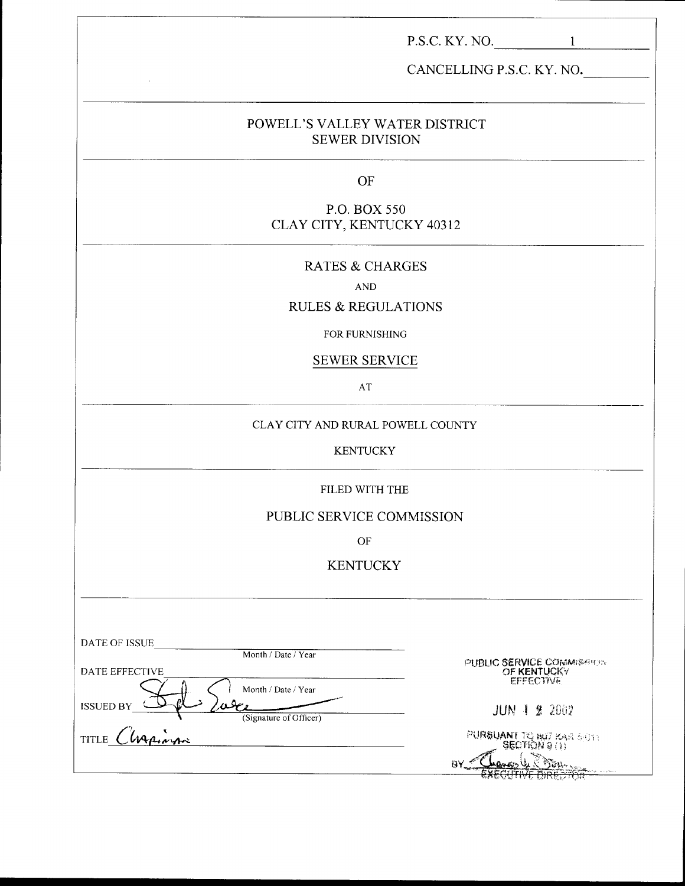| P.S.C. KY. NO. $\qquad \qquad 1$                        |
|---------------------------------------------------------|
| CANCELLING P.S.C. KY. NO.                               |
| POWELL'S VALLEY WATER DISTRICT<br><b>SEWER DIVISION</b> |
| OF                                                      |
| P.O. BOX 550<br>CLAY CITY, KENTUCKY 40312               |
| <b>RATES &amp; CHARGES</b>                              |
| <b>AND</b><br><b>RULES &amp; REGULATIONS</b>            |
|                                                         |
| FOR FURNISHING<br><b>SEWER SERVICE</b>                  |
| AT                                                      |
| CLAY CITY AND RURAL POWELL COUNTY                       |
| <b>KENTUCKY</b>                                         |
| FILED WITH THE                                          |
| PUBLIC SERVICE COMMISSION                               |
| $\mathrm{OF}% _{T}$                                     |
| <b>KENTUCKY</b>                                         |

| DATE OF ISSUE<br>Month / Date / Year                              |                                                              |
|-------------------------------------------------------------------|--------------------------------------------------------------|
| DATE EFFECTIVE                                                    | PUBLIC SERVICE COMMISSION<br>OF KENTUCKY<br><b>EFFECTIVE</b> |
| Month / Date / Year<br><b>ISSUED BY</b><br>(Signature of Officer) | <b>JUN 1 2 2002</b>                                          |
| Chapinon<br><b>TITLE</b>                                          | PURBUANT TO BUT KAR SOTT                                     |
|                                                                   | BY<br>EVECTION & BINE AND A COMPLETE                         |

I-I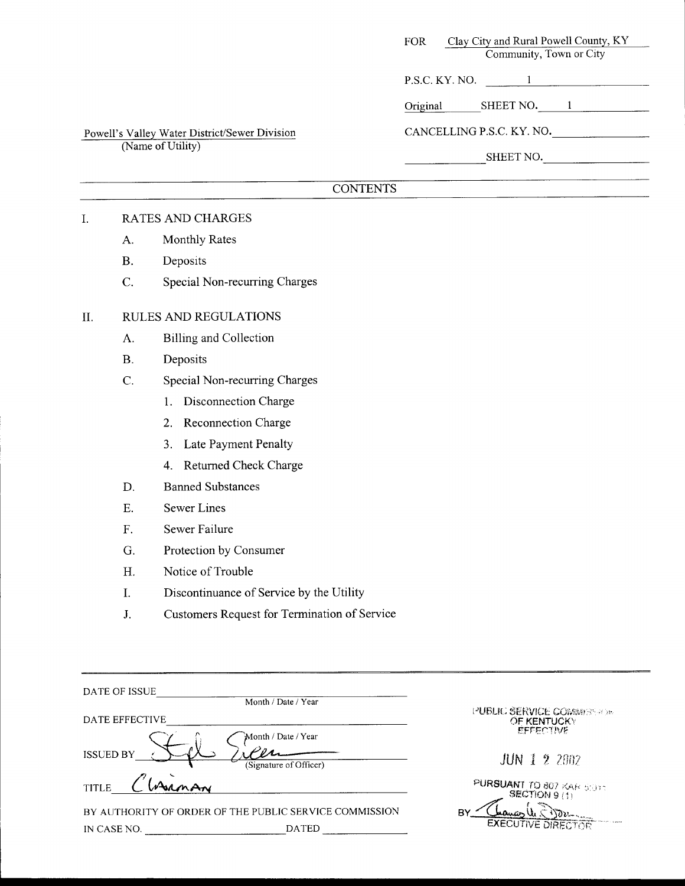| Clay City and Rural Powell County, KY<br>FOR - |  |  |  |
|------------------------------------------------|--|--|--|
| Community, Town or City                        |  |  |  |
| P.S.C. KY. NO.                                 |  |  |  |
| SHEET NO.<br>Original                          |  |  |  |
| CANCELLING P.S.C. KY. NO.                      |  |  |  |
| SHEET NO.                                      |  |  |  |
|                                                |  |  |  |

# **CONTENTS**

## I. RATES AND CHARGES

(Name of Utility)

A. Monthly Rates

Powell's Valley Water District/Sewer Division

- B. Deposits
- C. Special Non-recurring Charges

## 11. RULES AND REGULATIONS

- A. Billing and Collection
- B. Deposits
- C. Special Non-recurring Charges
	- 1. Disconnection Charge
	- 2. Reconnection Charge
	- *3.* Late Payment Penalty
	- 4. Returned Check Charge
- D. Banned Substances
- E. Sewer Lines
- F. Sewer Failure
- G. Protection by Consumer
- H. Notice of Trouble
- I. Discontinuance of Service by the Utility
- J. Customers Request for Termination of Service

| DATE OF ISSUE<br>Month / Date / Year                                                  |                                                                |
|---------------------------------------------------------------------------------------|----------------------------------------------------------------|
| DATE EFFECTIVE                                                                        | PUBLIC SERVICE COMMENTATION<br>OF KENTUCKY<br><b>EFFECTIVE</b> |
| Month / Date / Year<br><b>ISSUED BY</b><br>(Signature of Officer)                     | <b>JUN 1 2 2002</b>                                            |
| <b>TITLE</b>                                                                          | PURSUANT TO 807 KAR SOTT<br>SECTION 9 (1)                      |
| BY AUTHORITY OF ORDER OF THE PUBLIC SERVICE COMMISSION<br><b>DATED</b><br>IN CASE NO. | B۲<br><b>EXECUTIVE DIRECTOR</b>                                |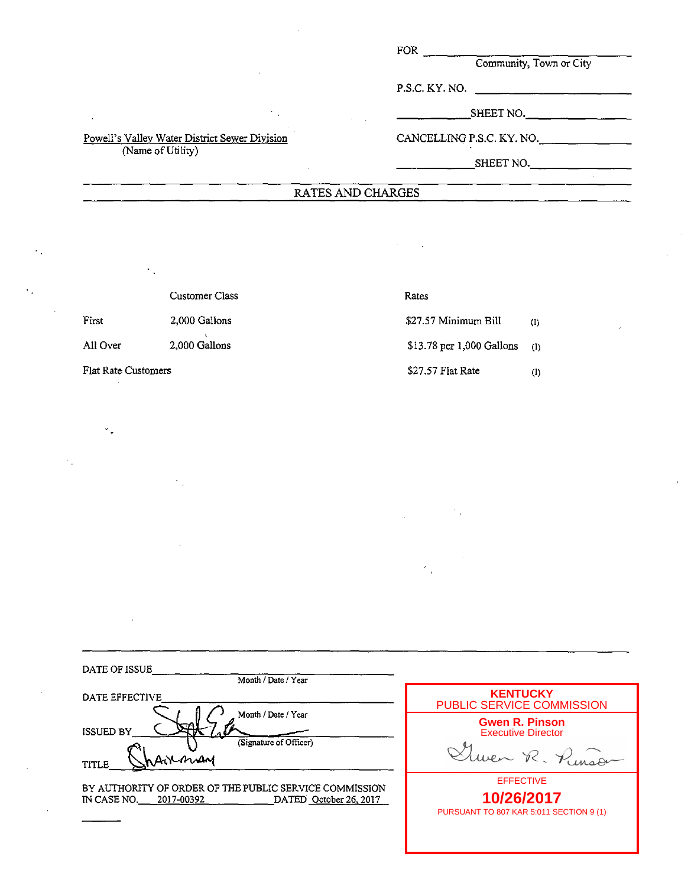FOR

**Community, Town or City** 

P.S.C. KY. NO.

 $\_$ SHEET NO.  $\_\_\_\_\_\_\_\_\_\_\_\_\_\_\_\_\_\_\_\_$ 

CANCELLING P.S.C. KY. NO.

 $SHEET NO.$ 

#### RATES AND CHARGES

Customer Class Rates

Flat Rate Customers  $$27.57$  Flat Rate (I)

First 2,000 Gallons **\$27.57 Minimum Bill** (I) All Over 2,000 Gallons \$13.78 per 1,000 Gallons (I)

| DATE OF ISSUE<br>Month / Date / Year                                                                          |                                                                           |
|---------------------------------------------------------------------------------------------------------------|---------------------------------------------------------------------------|
| DATE EFFECTIVE                                                                                                | <b>KENTUCKY</b><br>PUBLIC SERVICE COMMISSION                              |
| Month / Date / Year<br><b>ISSUED BY</b><br>(Signature of Officer)<br>Arrman<br>TITLE                          | <b>Gwen R. Pinson</b><br><b>Executive Director</b><br>wer R. Pinson       |
| BY AUTHORITY OF ORDER OF THE PUBLIC SERVICE COMMISSION<br>IN CASE NO.<br>DATED October 26, 2017<br>2017-00392 | <b>EFFECTIVE</b><br>10/26/2017<br>PURSUANT TO 807 KAR 5:011 SECTION 9 (1) |

#### Powell's Valley Water District Sewer Division (Name of Utility)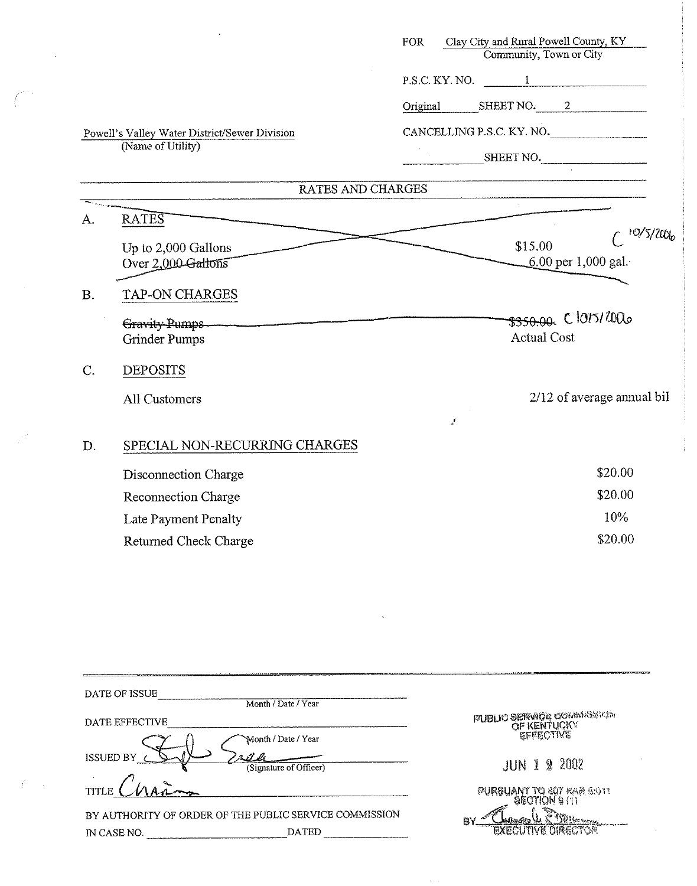|           | Powell's Valley Water District/Sewer Division<br>(Name of Utility) | <b>FOR</b> | Clay City and Rural Powell County, KY<br>Community, Town or City<br>$P.S.C. KY. NO.$ 1 | Original SHEET NO. 2<br>CANCELLING P.S.C. KY. NO.<br>SHEET NO. |
|-----------|--------------------------------------------------------------------|------------|----------------------------------------------------------------------------------------|----------------------------------------------------------------|
|           | RATES AND CHARGES                                                  |            |                                                                                        |                                                                |
| A.        | <b>RATES</b>                                                       |            |                                                                                        | 10/5/2006                                                      |
|           | Up to 2,000 Gallons<br>Over 2,000 Gallons                          |            | \$15.00                                                                                | 6.00 per 1,000 gal.                                            |
| <b>B.</b> | TAP-ON CHARGES                                                     |            |                                                                                        |                                                                |
|           | Gravity Pumps<br>Grinder Pumps                                     |            | <b>Actual Cost</b>                                                                     | \$350.00 C 1015/20120                                          |
| $C$ .     | <b>DEPOSITS</b>                                                    |            |                                                                                        |                                                                |
|           | <b>All Customers</b>                                               |            |                                                                                        | 2/12 of average annual bil                                     |
|           |                                                                    | ż          |                                                                                        |                                                                |
| D.        | SPECIAL NON-RECURRING CHARGES                                      |            |                                                                                        |                                                                |
|           | Disconnection Charge                                               |            |                                                                                        | \$20.00                                                        |
|           | Reconnection Charge                                                |            |                                                                                        | \$20.00                                                        |
|           | Late Payment Penalty                                               |            |                                                                                        | 10%                                                            |
|           | <b>Returned Check Charge</b>                                       |            |                                                                                        | \$20.00                                                        |

| DATE OF ISSUE                                          |                                                |
|--------------------------------------------------------|------------------------------------------------|
| Month / Date / Year                                    |                                                |
| DATE EFFECTIVE                                         | PUBLIC SERVICE COMMISSION                      |
| Month / Date / Year                                    |                                                |
| ISSUED BY<br>(Signature of Officer)                    | <b>JUN 1 2 2002</b>                            |
| TITLE 1                                                | PURSUANT TO 607 KAR 5:011<br>$950T$ IQN $9(1)$ |
| BY AUTHORITY OF ORDER OF THE PUBLIC SERVICE COMMISSION | P۲                                             |
| <b>DATED</b><br>IN CASE NO.                            |                                                |

 $\label{eq:2.1} \frac{1}{\sqrt{2\pi}}\int_{\mathbb{R}^3}\frac{1}{\sqrt{2\pi}}\left(\frac{1}{\sqrt{2\pi}}\right)^2\frac{1}{\sqrt{2\pi}}\int_{\mathbb{R}^3}\frac{1}{\sqrt{2\pi}}\left(\frac{1}{\sqrt{2\pi}}\right)^2\frac{1}{\sqrt{2\pi}}\frac{1}{\sqrt{2\pi}}\int_{\mathbb{R}^3}\frac{1}{\sqrt{2\pi}}\frac{1}{\sqrt{2\pi}}\frac{1}{\sqrt{2\pi}}\frac{1}{\sqrt{2\pi}}\frac{1}{\sqrt{2\pi}}\frac{1}{\sqrt{2\$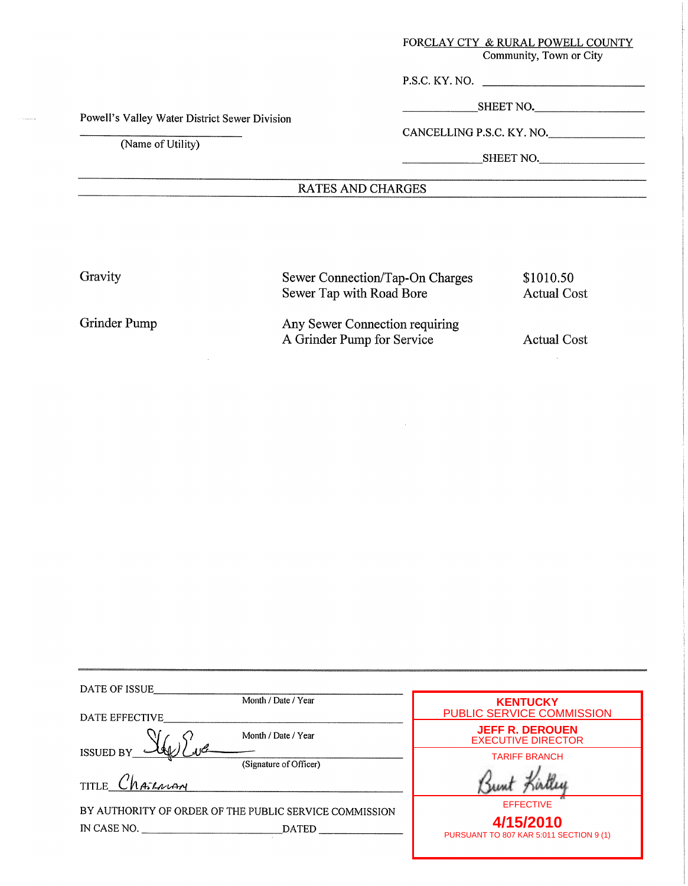## FORCLAY CTY & RURAL POWELL COUNTY

Community, Town or City

P.S.C. KY. NO.

SHEET NO.

Powell's Valley Water District Sewer Division

(Name **of** Utility)

CANCELLING P.S.C. KY. NO.

SHEET NO.

## RATES **AND** CHARGES

Gravity

Grinder Pump

Sewer Connection/Tap-On Charges Sewer Tap with Road Bore

Any Sewer Connection requiring A Grinder Pump for Service

Actual Cost

\$1010.50 Actual Cost

| DATE OF ISSUE                                          |                                                      |
|--------------------------------------------------------|------------------------------------------------------|
| Month / Date / Year<br>DATE EFFECTIVE                  | <b>KENTUCKY</b><br>PUBLIC SERVICE COMMISSION         |
| Month / Date / Year                                    | <b>JEFF R. DEROUEN</b><br><b>EXECUTIVE DIRECTOR</b>  |
| ISSUED BY<br>(Signature of Officer)                    | <b>TARIFF BRANCH</b>                                 |
| TITLE Charlow                                          |                                                      |
| BY AUTHORITY OF ORDER OF THE PUBLIC SERVICE COMMISSION | <b>EFFECTIVE</b>                                     |
| IN CASE NO.<br><b>DATED</b>                            | 4/15/2010<br>PURSUANT TO 807 KAR 5:011 SECTION 9 (1) |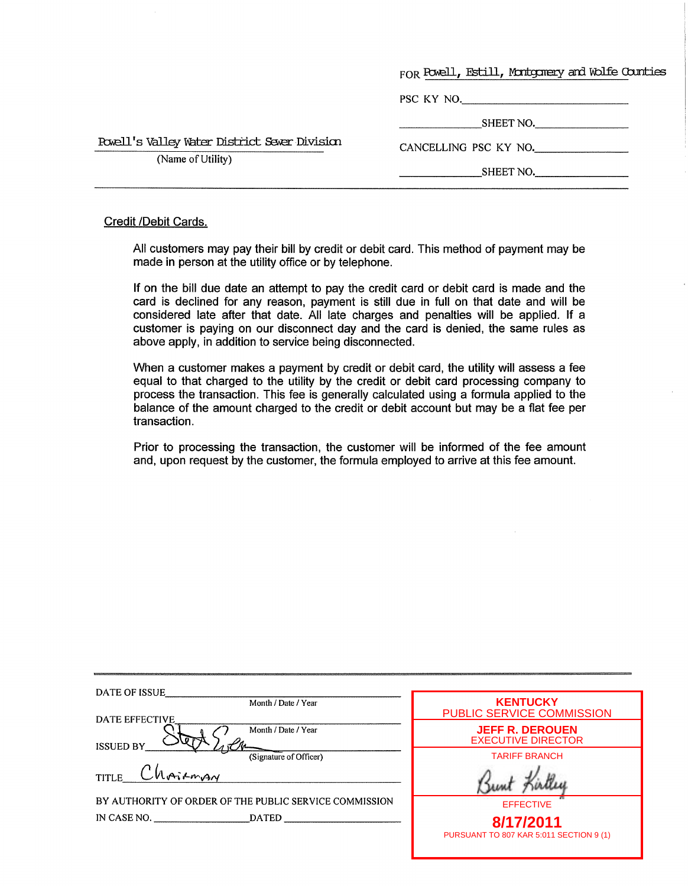|                                               | FOR Powell, Estill, Montgorery and Wolfe Counties |
|-----------------------------------------------|---------------------------------------------------|
|                                               |                                                   |
|                                               | PSC KY NO.                                        |
|                                               | SHEET NO.                                         |
| Powell's Valley Water District Sever Division | CANCELLING PSC KY NO.                             |
| (Name of Utility)                             | SHEET NO.                                         |

#### Credit /Debit Cards.

All customers may pay their bill by credit or debit card. This method of payment may be made in person at the utility office or by telephone.

If on the bill due date an attempt to pay the credit card or debit card is made and the card is declined for any reason, payment is still due in full on that date and will be considered late after that date. All late charges and penalties will be applied. If a customer is paying on our disconnect day and the card is denied, the same rules as above apply, in addition to service being disconnected.

When a customer makes a payment by credit or debit card, the utility will assess a fee equal to that charged to the utility by the credit or debit card processing company to process the transaction. This fee is generally calculated using a formula applied to the balance of the amount charged to the credit or debit account but may be a flat fee per transaction.

Prior to processing the transaction, the customer will be informed of the fee amount and, upon request by the customer, the formula employed to arrive at this fee amount.

| DATE OF ISSUE                                          |                                                      |
|--------------------------------------------------------|------------------------------------------------------|
| Month / Date / Year<br>DATE EFFECTIVE                  | <b>KENTUCKY</b><br>PUBLIC SERVICE COMMISSION         |
| Month / Date / Year<br><b>ISSUED BY</b>                | <b>JEFF R. DEROUEN</b><br><b>EXECUTIVE DIRECTOR</b>  |
| (Signature of Officer)                                 | <b>TARIFF BRANCH</b>                                 |
| $LMair_{AM}$<br><b>TITLE</b>                           |                                                      |
| BY AUTHORITY OF ORDER OF THE PUBLIC SERVICE COMMISSION | <b>EFFECTIVE</b>                                     |
| IN CASE NO.<br><b>DATED</b>                            | 8/17/2011<br>PURSUANT TO 807 KAR 5:011 SECTION 9 (1) |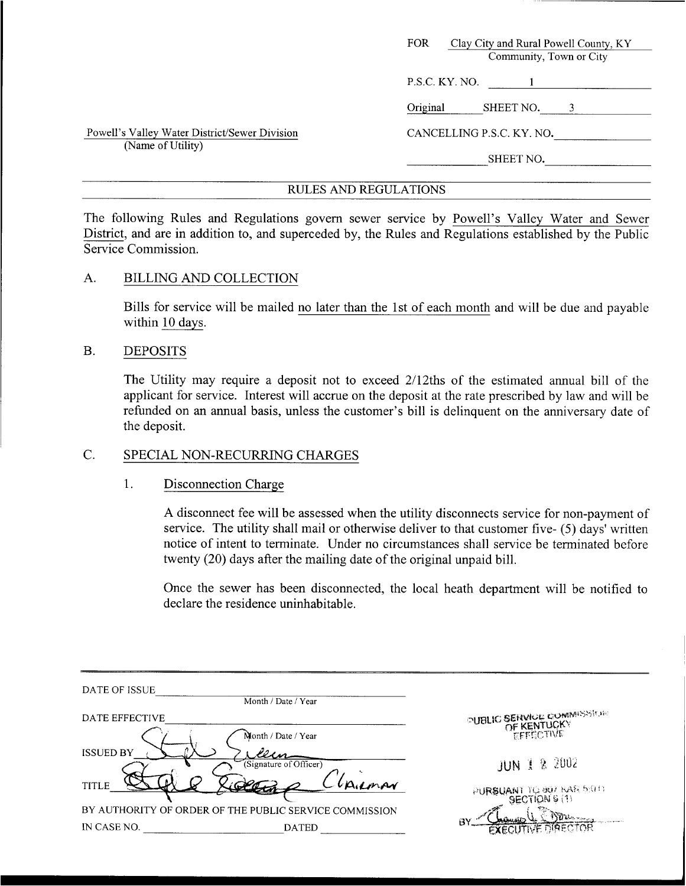|                                                                    | <b>FOR</b><br>Clay City and Rural Powell County, KY<br>Community, Town or City |
|--------------------------------------------------------------------|--------------------------------------------------------------------------------|
|                                                                    | P.S.C. KY. NO.                                                                 |
|                                                                    | Original<br>SHEET NO.<br>3                                                     |
| Powell's Valley Water District/Sewer Division<br>(Name of Utility) | CANCELLING P.S.C. KY. NO.                                                      |
|                                                                    | SHEET NO.                                                                      |

The following Rules and Regulations govern sewer service by Powell's Valley Water and Sewer District, and are in addition to, and superceded by, the Rules and Regulations established by the Public Service Commission.

## A. BILLING AND COLLECTION

Bills for service will be mailed no later than the 1st of each month and will be due and payable within 10 days.

## B. DEPOSITS

The Utility may require a deposit not to exceed 2/12ths of the estimated annual bill of the applicant for service. Interest will accrue on the deposit at the rate prescribed by law and will be refimded on **an** annual basis, unless the customer's bill is delinquent on the anniversary date of the deposit.

# C. SPECIAL NON-RECURRING CHARGES

## 1. Disconnection Charge

A disconnect fee will be assessed when the utility disconnects service for non-payment of service. The utility shall mail or otherwise deliver to that customer five- (5) days' written notice of intent to terminate. Under no circumstances shall service be terminated before twenty (20) days after the mailing date of the original unpaid bill.

Once the sewer has been disconnected, the local heath department will be notified to declare the residence uninhabitable.

| DATE OF ISSUE    | Month / Date / Year                                    |                                  |
|------------------|--------------------------------------------------------|----------------------------------|
| DATE EFFECTIVE   |                                                        | <b>PUBLIC SERVICE COMMISSION</b> |
| <b>ISSUED BY</b> | Month / Date / Year                                    |                                  |
| <b>TITLE</b>     | (Signature of Officer)<br>Ailman<br>_רומברי            | JUN 1 2 2002                     |
|                  | BY AUTHORITY OF ORDER OF THE PUBLIC SERVICE COMMISSION | PURSUANT TO 807 BAR 5:011        |
| IN CASE NO.      | <b>DATED</b>                                           | $\mathbf{W}$<br>B٧<br>NRFCTOR    |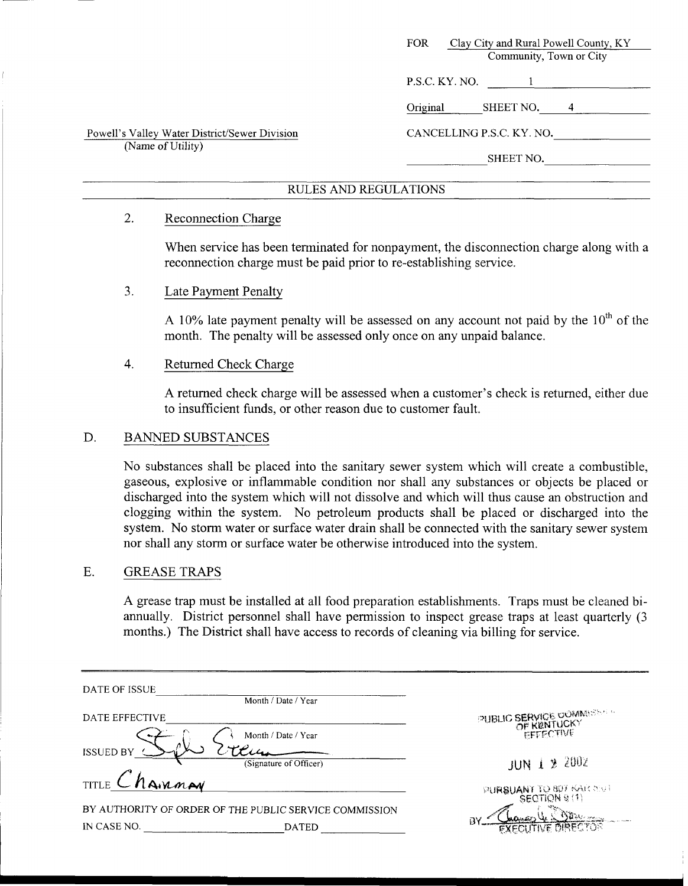| Clay City and Rural Powell County, KY<br>FOR.<br>Community, Town or City |
|--------------------------------------------------------------------------|
| P.S.C. KY. NO.                                                           |
| Original<br>SHEET NO.<br>4                                               |
| CANCELLING P.S.C. KY. NO.                                                |
| SHEET NO.                                                                |
|                                                                          |

## 2. Reconnection Charge

When service has been terminated for nonpayment, the disconnection charge along with a reconnection charge must be paid prior to re-establishing service.

## 3. Late Payment Penalty

A 10% late payment penalty will be assessed on any account not paid by the  $10<sup>th</sup>$  of the month. The penalty will be assessed only once on any unpaid balance.

#### 4. Returned Check Charge

A returned check charge will be assessed when a customer's check is returned, either due to insufficient funds, or other reason due to customer fault.

## D. BANNED SUBSTANCES

No substances shall be placed into the sanitary sewer system which will create a combustible, gaseous, explosive or inflammable condition nor shall any substances or objects be placed or discharged into the system which will not dissolve and which will thus cause an obstruction and clogging within the system. No petroleum products shall be placed or discharged into the system. No storm water or surface water drain shall be connected with the sanitary sewer system nor shall any storm or surface water be otherwise introduced into the system.

#### E. GREASE TRAPS

A grease trap must be installed at all food preparation establishments. Traps must be cleaned biannually. District personnel shall have permission to inspect grease traps at least quarterly (3 months.) The District shall have access to records of cleaning via billing for service.

| months.) The District shall have access to records of cleaning via billing for service. |                                         |  |
|-----------------------------------------------------------------------------------------|-----------------------------------------|--|
|                                                                                         |                                         |  |
| DATE OF ISSUE<br>Month / Date / Year                                                    |                                         |  |
| DATE EFFECTIVE                                                                          | PUBLIC SERVICE COMMESSED                |  |
| Month / Date / Year                                                                     | EFFECTIVE                               |  |
| <b>ISSUED BY</b><br>(Signature of Officer)                                              | <b>JUN 1 2 2002</b>                     |  |
| TITLE Chairman                                                                          |                                         |  |
|                                                                                         | PURSUANT TO 807 KAR SOT<br>SECTION 9(1) |  |
| BY AUTHORITY OF ORDER OF THE PUBLIC SERVICE COMMISSION<br>IN CASE NO.<br><b>DATED</b>   | ПY                                      |  |
|                                                                                         |                                         |  |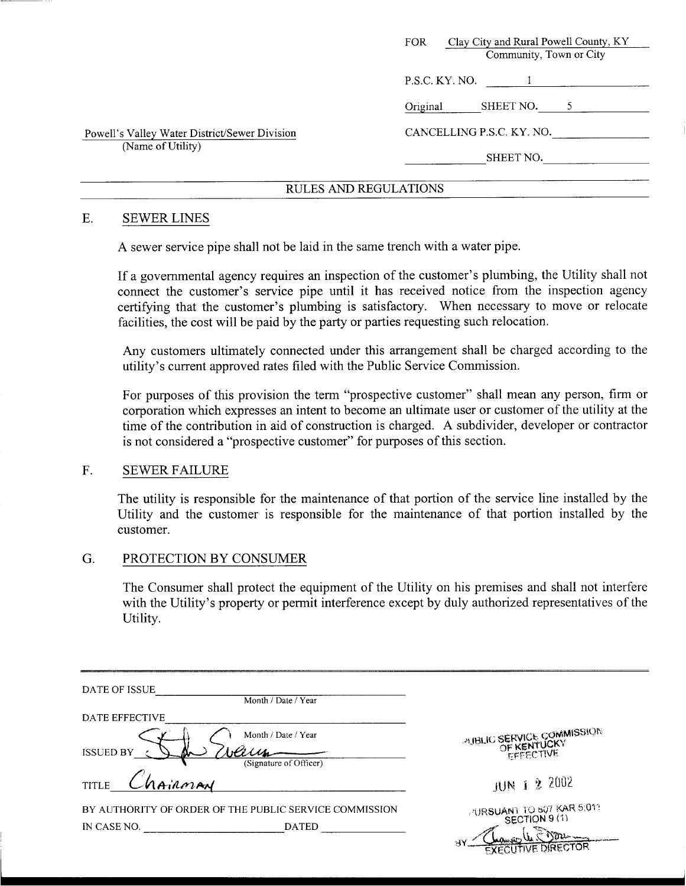|                                               | Clay City and Rural Powell County, KY<br>FOR. |
|-----------------------------------------------|-----------------------------------------------|
|                                               | Community, Town or City                       |
|                                               | P.S.C. KY. NO.                                |
|                                               | SHEET NO.<br>Original                         |
| Powell's Valley Water District/Sewer Division | CANCELLING P.S.C. KY. NO.                     |
| (Name of Utility)                             | SHEET NO.                                     |
|                                               |                                               |

#### E. SEWER LINES

**A** sewer service pipe shall not be laid in the same trench with a water pipe.

If a governmental agency requires an inspection of the customer's plumbing, the Utility shall not connect the customer's service pipe until it has received notice from the inspection agency certifying that the customer's plumbing is satisfactory. When necessary to move or relocate facilities, the cost will be paid by the party or parties requesting such relocation.

Any customers ultimately connected under this arrangement shall be charged according to the utility's current approved rates filed with the Public Service Commission.

For purposes of this provision the term "prospective customer" shall mean any person, firm or corporation which expresses an intent to become an ultimate user or customer of the utility at the time of the contribution in aid of construction is charged. **A** subdivider, developer or contractor is not considered a "prospective customer" for purposes of this section.

#### F. SEWER FAILURE

The utility is responsible for the maintenance of that portion of the service line installed by the Utility and the customer is responsible for the maintenance of that portion installed by the customer.

#### G. PROTECTION BY CONSUMER

The Consumer shall protect the equipment of the Utility on his premises and shall not interfere with the Utility's property or permit interference except by duly authorized representatives of the Utility.

| DATE OF ISSUE           | Month / Date / Year                                    |                                                              |
|-------------------------|--------------------------------------------------------|--------------------------------------------------------------|
| DATE EFFECTIVE          |                                                        |                                                              |
| <b>ISSUED BY</b>        | Month / Date / Year<br>(Signature of Officer)          | <b>PUBLIC SERVICE COMMISSION</b><br>OF KENTUCKY<br>EFFECTIVE |
| NAIRMAN<br><b>TITLE</b> |                                                        | JUN 1 2 2002                                                 |
|                         | BY AUTHORITY OF ORDER OF THE PUBLIC SERVICE COMMISSION | <b>PURSUANT TO 807 KAR 5:011</b>                             |
| IN CASE NO.             | <b>DATED</b>                                           | H٧<br><b>EXECUTIVE DIRECTOR</b>                              |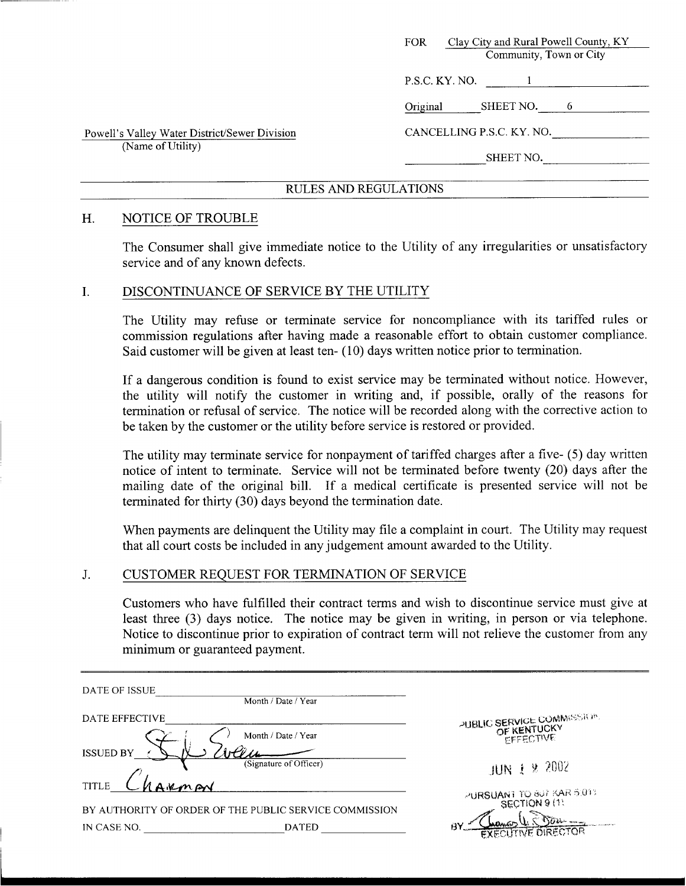|                                               | Clay City and Rural Powell County, KY<br><b>FOR</b><br>Community, Town or City |
|-----------------------------------------------|--------------------------------------------------------------------------------|
|                                               | P.S.C. KY. NO.                                                                 |
|                                               | SHEET NO.<br>Original<br>6                                                     |
| Powell's Valley Water District/Sewer Division | CANCELLING P.S.C. KY. NO.                                                      |
| (Name of Utility)                             | SHEET NO.                                                                      |
|                                               |                                                                                |

#### H. NOTICE OF TROUBLE

The Consumer shall give immediate notice to the Utility of any irregularities or unsatisfactory service and of any known defects.

#### I. DISCONTINUANCE OF SERVICE BY THE UTILITY

The Utility may refuse or terminate service for noncompliance with its tariffed rules or commission regulations after having made a reasonable effort to obtain customer compliance. Said customer will be given at least ten- (10) days written notice prior to termination.

If a dangerous condition is found to exist service may be terminated without notice. However, the utility will notify the customer in writing and, if possible, orally of the reasons for termination or refusal of service. The notice will be recorded along with the corrective action to be taken by the customer or the utility before service is restored or provided.

The utility may terminate service for nonpayment of tariffed charges after a five- *(5)* day written notice of intent to terminate. Service will not be terminated before twenty (20) days after the mailing date of the original bill. If a medical certificate is presented service will not be terminated for thirty (30) days beyond the termination date.

When payments are delinquent the Utility may file a complaint in court. The Utility may request that all court costs be included in any judgement amount awarded to the Utility.

#### J. CUSTOMER REQUEST FOR TERMINATION OF SERVICE

Customers who have fulfilled their contract terms and wish to discontinue service must give at least three (3) days notice. The notice may be given in writing, in person or via telephone. Notice to discontinue prior to expiration of contract term will not relieve the customer from any minimum or guaranteed payment.

| DATE OF ISSUE                                          | Month / Date / Year    |                                                        |
|--------------------------------------------------------|------------------------|--------------------------------------------------------|
| DATE EFFECTIVE                                         | Month / Date / Year    | PUBLIC SERVICE COMMISSION.<br>OF KENTUCKY<br>EFFECTIVE |
| <b>ISSUED BY</b>                                       | (Signature of Officer) |                                                        |
| <b>TITLE</b><br>non                                    |                        | JUN $1$ & 2002                                         |
| BY AUTHORITY OF ORDER OF THE PUBLIC SERVICE COMMISSION |                        | PURSUANT TO 807 KAR 5.013                              |
| IN CASE NO.                                            | BY.<br><b>DATED</b>    | LADALGIO<br><b>EXECUTIVE DIRECTOR</b>                  |